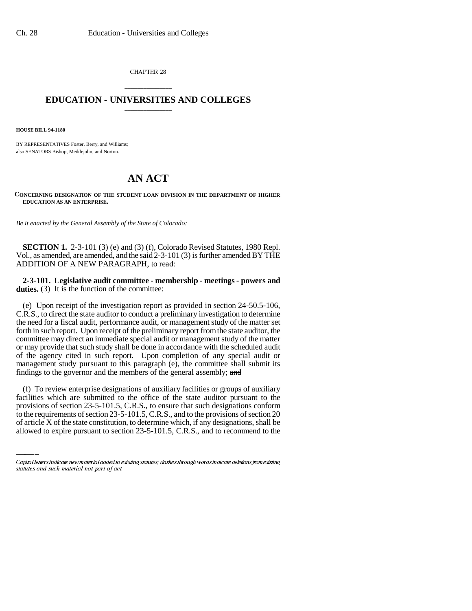CHAPTER 28

## \_\_\_\_\_\_\_\_\_\_\_\_\_\_\_ **EDUCATION - UNIVERSITIES AND COLLEGES** \_\_\_\_\_\_\_\_\_\_\_\_\_\_\_

**HOUSE BILL 94-1180**

BY REPRESENTATIVES Foster, Berry, and Williams; also SENATORS Bishop, Meiklejohn, and Norton.

## **AN ACT**

**CONCERNING DESIGNATION OF THE STUDENT LOAN DIVISION IN THE DEPARTMENT OF HIGHER EDUCATION AS AN ENTERPRISE.**

*Be it enacted by the General Assembly of the State of Colorado:*

**SECTION 1.** 2-3-101 (3) (e) and (3) (f), Colorado Revised Statutes, 1980 Repl. Vol., as amended, are amended, and the said 2-3-101 (3) is further amended BY THE ADDITION OF A NEW PARAGRAPH, to read:

**2-3-101. Legislative audit committee - membership - meetings - powers and duties.** (3) It is the function of the committee:

(e) Upon receipt of the investigation report as provided in section 24-50.5-106, C.R.S., to direct the state auditor to conduct a preliminary investigation to determine the need for a fiscal audit, performance audit, or management study of the matter set forth in such report. Upon receipt of the preliminary report from the state auditor, the committee may direct an immediate special audit or management study of the matter or may provide that such study shall be done in accordance with the scheduled audit of the agency cited in such report. Upon completion of any special audit or management study pursuant to this paragraph (e), the committee shall submit its findings to the governor and the members of the general assembly; and

facilities which are submitted to the office of the state auditor pursuant to the (f) To review enterprise designations of auxiliary facilities or groups of auxiliary provisions of section 23-5-101.5, C.R.S., to ensure that such designations conform to the requirements of section 23-5-101.5, C.R.S., and to the provisions of section 20 of article X of the state constitution, to determine which, if any designations, shall be allowed to expire pursuant to section 23-5-101.5, C.R.S., and to recommend to the

Capital letters indicate new material added to existing statutes; dashes through words indicate deletions from existing statutes and such material not part of act.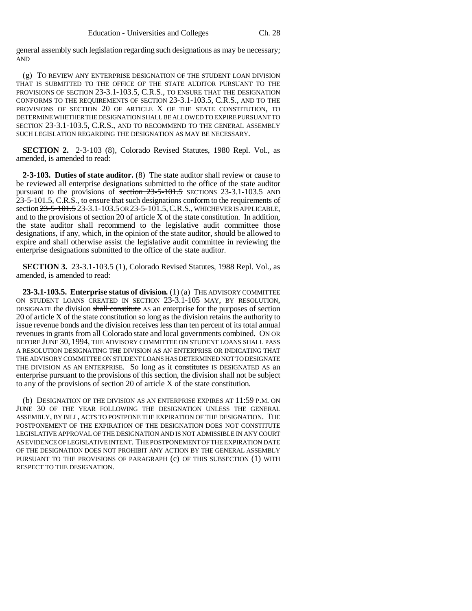general assembly such legislation regarding such designations as may be necessary; AND

(g) TO REVIEW ANY ENTERPRISE DESIGNATION OF THE STUDENT LOAN DIVISION THAT IS SUBMITTED TO THE OFFICE OF THE STATE AUDITOR PURSUANT TO THE PROVISIONS OF SECTION 23-3.1-103.5, C.R.S., TO ENSURE THAT THE DESIGNATION CONFORMS TO THE REQUIREMENTS OF SECTION 23-3.1-103.5, C.R.S., AND TO THE PROVISIONS OF SECTION 20 OF ARTICLE X OF THE STATE CONSTITUTION, TO DETERMINE WHETHER THE DESIGNATION SHALL BE ALLOWED TO EXPIRE PURSUANT TO SECTION 23-3.1-103.5, C.R.S., AND TO RECOMMEND TO THE GENERAL ASSEMBLY SUCH LEGISLATION REGARDING THE DESIGNATION AS MAY BE NECESSARY.

**SECTION 2.** 2-3-103 (8), Colorado Revised Statutes, 1980 Repl. Vol., as amended, is amended to read:

**2-3-103. Duties of state auditor.** (8) The state auditor shall review or cause to be reviewed all enterprise designations submitted to the office of the state auditor pursuant to the provisions of section  $23-5-101.5$  SECTIONS 23-3.1-103.5 AND 23-5-101.5, C.R.S., to ensure that such designations conform to the requirements of section  $23-5-101.5$  23-3.1-103.5 OR 23-5-101.5, C.R.S., WHICHEVER IS APPLICABLE, and to the provisions of section 20 of article X of the state constitution. In addition, the state auditor shall recommend to the legislative audit committee those designations, if any, which, in the opinion of the state auditor, should be allowed to expire and shall otherwise assist the legislative audit committee in reviewing the enterprise designations submitted to the office of the state auditor.

**SECTION 3.** 23-3.1-103.5 (1), Colorado Revised Statutes, 1988 Repl. Vol., as amended, is amended to read:

**23-3.1-103.5. Enterprise status of division.** (1) (a) THE ADVISORY COMMITTEE ON STUDENT LOANS CREATED IN SECTION 23-3.1-105 MAY, BY RESOLUTION, DESIGNATE the division shall constitute AS an enterprise for the purposes of section 20 of article X of the state constitution so long as the division retains the authority to issue revenue bonds and the division receives less than ten percent of its total annual revenues in grants from all Colorado state and local governments combined. ON OR BEFORE JUNE 30, 1994, THE ADVISORY COMMITTEE ON STUDENT LOANS SHALL PASS A RESOLUTION DESIGNATING THE DIVISION AS AN ENTERPRISE OR INDICATING THAT THE ADVISORY COMMITTEE ON STUDENT LOANS HAS DETERMINED NOT TO DESIGNATE THE DIVISION AS AN ENTERPRISE. So long as it constitutes IS DESIGNATED AS an enterprise pursuant to the provisions of this section, the division shall not be subject to any of the provisions of section 20 of article X of the state constitution.

(b) DESIGNATION OF THE DIVISION AS AN ENTERPRISE EXPIRES AT 11:59 P.M. ON JUNE 30 OF THE YEAR FOLLOWING THE DESIGNATION UNLESS THE GENERAL ASSEMBLY, BY BILL, ACTS TO POSTPONE THE EXPIRATION OF THE DESIGNATION. THE POSTPONEMENT OF THE EXPIRATION OF THE DESIGNATION DOES NOT CONSTITUTE LEGISLATIVE APPROVAL OF THE DESIGNATION AND IS NOT ADMISSIBLE IN ANY COURT AS EVIDENCE OF LEGISLATIVE INTENT. THE POSTPONEMENT OF THE EXPIRATION DATE OF THE DESIGNATION DOES NOT PROHIBIT ANY ACTION BY THE GENERAL ASSEMBLY PURSUANT TO THE PROVISIONS OF PARAGRAPH (c) OF THIS SUBSECTION (1) WITH RESPECT TO THE DESIGNATION.